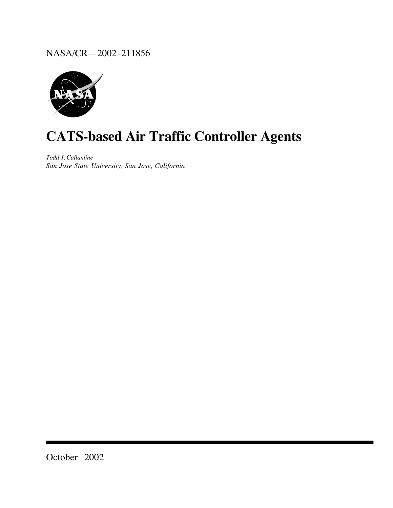NASA/CR—2002–211856



# **CATS-based Air Traffic Controller Agents**

*Todd J. Callantine San Jose State University, San Jose, California*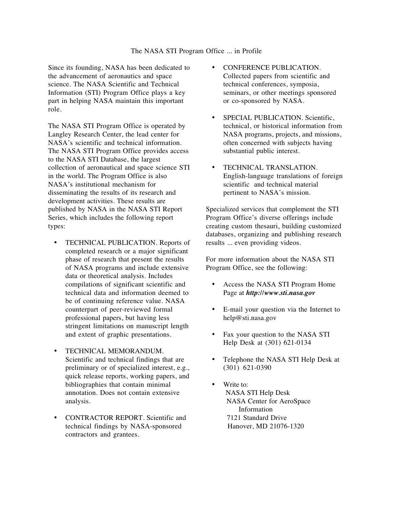#### The NASA STI Program Office ... in Profile

Since its founding, NASA has been dedicated to the advancement of aeronautics and space science. The NASA Scientific and Technical Information (STI) Program Office plays a key part in helping NASA maintain this important role.

The NASA STI Program Office is operated by Langley Research Center, the lead center for NASA's scientific and technical information. The NASA STI Program Office provides access to the NASA STI Database, the largest collection of aeronautical and space science STI in the world. The Program Office is also NASA's institutional mechanism for disseminating the results of its research and development activities. These results are published by NASA in the NASA STI Report Series, which includes the following report types:

- TECHNICAL PUBLICATION. Reports of completed research or a major significant phase of research that present the results of NASA programs and include extensive data or theoretical analysis. Includes compilations of significant scientific and technical data and information deemed to be of continuing reference value. NASA counterpart of peer-reviewed formal professional papers, but having less stringent limitations on manuscript length and extent of graphic presentations.
- TECHNICAL MEMORANDUM. Scientific and technical findings that are preliminary or of specialized interest, e.g., quick release reports, working papers, and bibliographies that contain minimal annotation. Does not contain extensive analysis.
- CONTRACTOR REPORT. Scientific and technical findings by NASA-sponsored contractors and grantees.
- CONFERENCE PUBLICATION. Collected papers from scientific and technical conferences, symposia, seminars, or other meetings sponsored or co-sponsored by NASA.
- SPECIAL PUBLICATION, Scientific, technical, or historical information from NASA programs, projects, and missions, often concerned with subjects having substantial public interest.
- TECHNICAL TRANSLATION. English-language translations of foreign scientific and technical material pertinent to NASA's mission.

Specialized services that complement the STI Program Office's diverse offerings include creating custom thesauri, building customized databases, organizing and publishing research results ... even providing videos.

For more information about the NASA STI Program Office, see the following:

- Access the NASA STI Program Home Page at *http://www.sti.nasa.gov*
- E-mail your question via the Internet to help@sti.nasa.gov
- Fax your question to the NASA STI Help Desk at (301) 621-0134
- Telephone the NASA STI Help Desk at (301) 621-0390
- Write to: NASA STI Help Desk NASA Center for AeroSpace Information 7121 Standard Drive Hanover, MD 21076-1320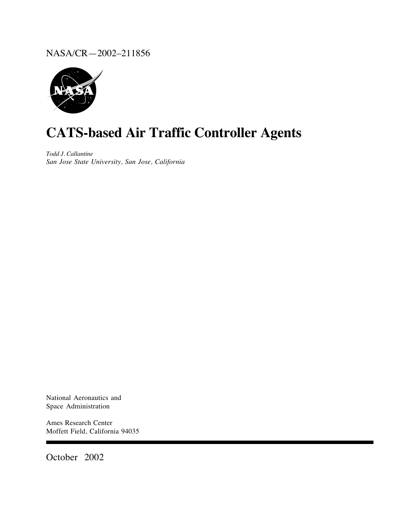NASA/CR—2002–211856



# **CATS-based Air Traffic Controller Agents**

*Todd J. Callantine San Jose State University, San Jose, California*

National Aeronautics and Space Administration

Ames Research Center Moffett Field, California 94035

October 2002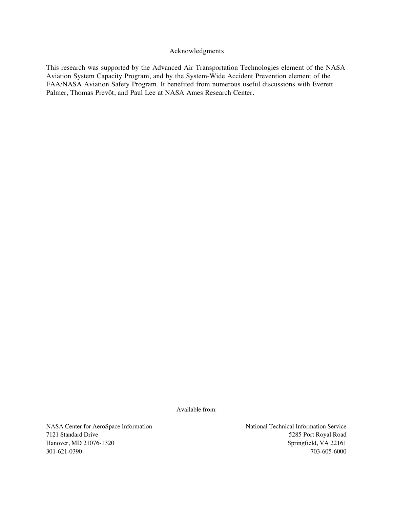#### Acknowledgments

This research was supported by the Advanced Air Transportation Technologies element of the NASA Aviation System Capacity Program, and by the System-Wide Accident Prevention element of the FAA/NASA Aviation Safety Program. It benefited from numerous useful discussions with Everett Palmer, Thomas Prevôt, and Paul Lee at NASA Ames Research Center.

Available from:

NASA Center for AeroSpace Information National Technical Information Service 7121 Standard Drive 5285 Port Royal Road Hanover, MD 21076-1320 Springfield, VA 22161

301-621-0390 703-605-6000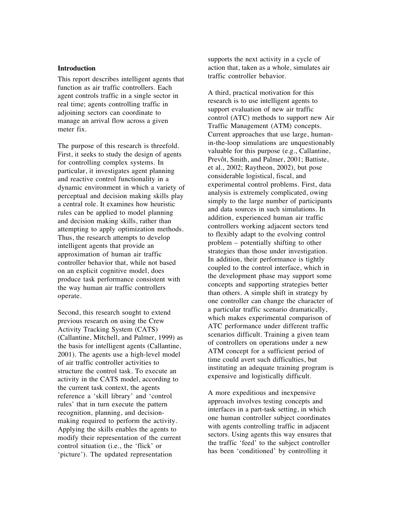#### **Introduction**

This report describes intelligent agents that function as air traffic controllers. Each agent controls traffic in a single sector in real time; agents controlling traffic in adjoining sectors can coordinate to manage an arrival flow across a given meter fix.

The purpose of this research is threefold. First, it seeks to study the design of agents for controlling complex systems. In particular, it investigates agent planning and reactive control functionality in a dynamic environment in which a variety of perceptual and decision making skills play a central role. It examines how heuristic rules can be applied to model planning and decision making skills, rather than attempting to apply optimization methods. Thus, the research attempts to develop intelligent agents that provide an approximation of human air traffic controller behavior that, while not based on an explicit cognitive model, does produce task performance consistent with the way human air traffic controllers operate.

Second, this research sought to extend previous research on using the Crew Activity Tracking System (CATS) (Callantine, Mitchell, and Palmer, 1999) as the basis for intelligent agents (Callantine, 2001). The agents use a high-level model of air traffic controller activities to structure the control task. To execute an activity in the CATS model, according to the current task context, the agents reference a 'skill library' and 'control rules' that in turn execute the pattern recognition, planning, and decisionmaking required to perform the activity. Applying the skills enables the agents to modify their representation of the current control situation (i.e., the 'flick' or 'picture'). The updated representation

supports the next activity in a cycle of action that, taken as a whole, simulates air traffic controller behavior.

A third, practical motivation for this research is to use intelligent agents to support evaluation of new air traffic control (ATC) methods to support new Air Traffic Management (ATM) concepts. Current approaches that use large, humanin-the-loop simulations are unquestionably valuable for this purpose (e.g., Callantine, Prevôt, Smith, and Palmer, 2001; Battiste, et al., 2002; Raytheon, 2002), but pose considerable logistical, fiscal, and experimental control problems. First, data analysis is extremely complicated, owing simply to the large number of participants and data sources in such simulations. In addition, experienced human air traffic controllers working adjacent sectors tend to flexibly adapt to the evolving control problem – potentially shifting to other strategies than those under investigation. In addition, their performance is tightly coupled to the control interface, which in the development phase may support some concepts and supporting strategies better than others. A simple shift in strategy by one controller can change the character of a particular traffic scenario dramatically, which makes experimental comparison of ATC performance under different traffic scenarios difficult. Training a given team of controllers on operations under a new ATM concept for a sufficient period of time could avert such difficulties, but instituting an adequate training program is expensive and logistically difficult.

A more expeditious and inexpensive approach involves testing concepts and interfaces in a part-task setting, in which one human controller subject coordinates with agents controlling traffic in adjacent sectors. Using agents this way ensures that the traffic 'feed' to the subject controller has been 'conditioned' by controlling it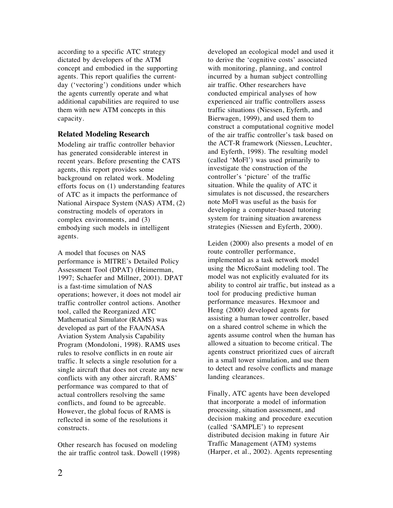according to a specific ATC strategy dictated by developers of the ATM concept and embodied in the supporting agents. This report qualifies the currentday ('vectoring') conditions under which the agents currently operate and what additional capabilities are required to use them with new ATM concepts in this capacity.

## **Related Modeling Research**

Modeling air traffic controller behavior has generated considerable interest in recent years. Before presenting the CATS agents, this report provides some background on related work. Modeling efforts focus on (1) understanding features of ATC as it impacts the performance of National Airspace System (NAS) ATM, (2) constructing models of operators in complex environments, and (3) embodying such models in intelligent agents.

A model that focuses on NAS performance is MITRE's Detailed Policy Assessment Tool (DPAT) (Heimerman, 1997; Schaefer and Millner, 2001). DPAT is a fast-time simulation of NAS operations; however, it does not model air traffic controller control actions. Another tool, called the Reorganized ATC Mathematical Simulator (RAMS) was developed as part of the FAA/NASA Aviation System Analysis Capability Program (Mondoloni, 1998). RAMS uses rules to resolve conflicts in en route air traffic. It selects a single resolution for a single aircraft that does not create any new conflicts with any other aircraft. RAMS' performance was compared to that of actual controllers resolving the same conflicts, and found to be agreeable. However, the global focus of RAMS is reflected in some of the resolutions it constructs.

Other research has focused on modeling the air traffic control task. Dowell (1998)

developed an ecological model and used it to derive the 'cognitive costs' associated with monitoring, planning, and control incurred by a human subject controlling air traffic. Other researchers have conducted empirical analyses of how experienced air traffic controllers assess traffic situations (Niessen, Eyferth, and Bierwagen, 1999), and used them to construct a computational cognitive model of the air traffic controller's task based on the ACT-R framework (Niessen, Leuchter, and Eyferth, 1998). The resulting model (called 'MoFl') was used primarily to investigate the construction of the controller's 'picture' of the traffic situation. While the quality of ATC it simulates is not discussed, the researchers note MoFl was useful as the basis for developing a computer-based tutoring system for training situation awareness strategies (Niessen and Eyferth, 2000).

Leiden (2000) also presents a model of en route controller performance, implemented as a task network model using the MicroSaint modeling tool. The model was not explicitly evaluated for its ability to control air traffic, but instead as a tool for producing predictive human performance measures. Hexmoor and Heng (2000) developed agents for assisting a human tower controller, based on a shared control scheme in which the agents assume control when the human has allowed a situation to become critical. The agents construct prioritized cues of aircraft in a small tower simulation, and use them to detect and resolve conflicts and manage landing clearances.

Finally, ATC agents have been developed that incorporate a model of information processing, situation assessment, and decision making and procedure execution (called 'SAMPLE') to represent distributed decision making in future Air Traffic Management (ATM) systems (Harper, et al., 2002). Agents representing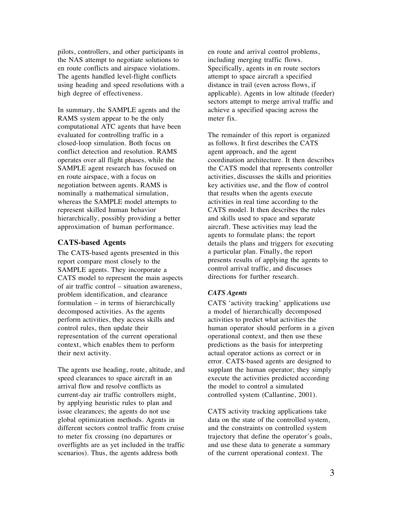pilots, controllers, and other participants in the NAS attempt to negotiate solutions to en route conflicts and airspace violations. The agents handled level-flight conflicts using heading and speed resolutions with a high degree of effectiveness.

In summary, the SAMPLE agents and the RAMS system appear to be the only computational ATC agents that have been evaluated for controlling traffic in a closed-loop simulation. Both focus on conflict detection and resolution. RAMS operates over all flight phases, while the SAMPLE agent research has focused on en route airspace, with a focus on negotiation between agents. RAMS is nominally a mathematical simulation, whereas the SAMPLE model attempts to represent skilled human behavior hierarchically, possibly providing a better approximation of human performance.

## **CATS-based Agents**

The CATS-based agents presented in this report compare most closely to the SAMPLE agents. They incorporate a CATS model to represent the main aspects of air traffic control – situation awareness, problem identification, and clearance formulation – in terms of hierarchically decomposed activities. As the agents perform activities, they access skills and control rules, then update their representation of the current operational context, which enables them to perform their next activity.

The agents use heading, route, altitude, and speed clearances to space aircraft in an arrival flow and resolve conflicts as current-day air traffic controllers might, by applying heuristic rules to plan and issue clearances; the agents do not use global optimization methods. Agents in different sectors control traffic from cruise to meter fix crossing (no departures or overflights are as yet included in the traffic scenarios). Thus, the agents address both

en route and arrival control problems, including merging traffic flows. Specifically, agents in en route sectors attempt to space aircraft a specified distance in trail (even across flows, if applicable). Agents in low altitude (feeder) sectors attempt to merge arrival traffic and achieve a specified spacing across the meter fix.

The remainder of this report is organized as follows. It first describes the CATS agent approach, and the agent coordination architecture. It then describes the CATS model that represents controller activities, discusses the skills and priorities key activities use, and the flow of control that results when the agents execute activities in real time according to the CATS model. It then describes the rules and skills used to space and separate aircraft. These activities may lead the agents to formulate plans; the report details the plans and triggers for executing a particular plan. Finally, the report presents results of applying the agents to control arrival traffic, and discusses directions for further research.

### *CATS Agents*

CATS 'activity tracking' applications use a model of hierarchically decomposed activities to predict what activities the human operator should perform in a given operational context, and then use these predictions as the basis for interpreting actual operator actions as correct or in error. CATS-based agents are designed to supplant the human operator; they simply execute the activities predicted according the model to control a simulated controlled system (Callantine, 2001).

CATS activity tracking applications take data on the state of the controlled system, and the constraints on controlled system trajectory that define the operator's goals, and use these data to generate a summary of the current operational context. The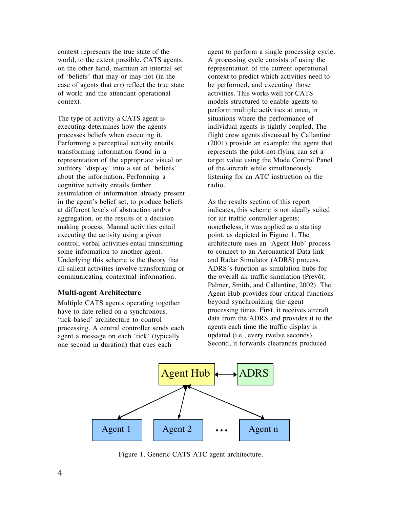context represents the true state of the world, to the extent possible. CATS agents, on the other hand, maintain an internal set of 'beliefs' that may or may not (in the case of agents that err) reflect the true state of world and the attendant operational context.

The type of activity a CATS agent is executing determines how the agents processes beliefs when executing it. Performing a perceptual activity entails transforming information found in a representation of the appropriate visual or auditory 'display' into a set of 'beliefs' about the information. Performing a cognitive activity entails further assimilation of information already present in the agent's belief set, to produce beliefs at different levels of abstraction and/or aggregation, or the results of a decision making process. Manual activities entail executing the activity using a given control; verbal activities entail transmitting some information to another agent. Underlying this scheme is the theory that all salient activities involve transforming or communicating contextual information.

#### **Multi-agent Architecture**

Multiple CATS agents operating together have to date relied on a synchronous. 'tick-based' architecture to control processing. A central controller sends each agent a message on each 'tick' (typically one second in duration) that cues each

agent to perform a single processing cycle. A processing cycle consists of using the representation of the current operational context to predict which activities need to be performed, and executing those activities. This works well for CATS models structured to enable agents to perform multiple activities at once, in situations where the performance of individual agents is tightly coupled. The flight crew agents discussed by Callantine (2001) provide an example: the agent that represents the pilot-not-flying can set a target value using the Mode Control Panel of the aircraft while simultaneously listening for an ATC instruction on the radio.

As the results section of this report indicates, this scheme is not ideally suited for air traffic controller agents; nonetheless, it was applied as a starting point, as depicted in Figure 1. The architecture uses an 'Agent Hub' process to connect to an Aeronautical Data link and Radar Simulator (ADRS) process. ADRS's function as simulation hubs for the overall air traffic simulation (Prevôt, Palmer, Smith, and Callantine, 2002). The Agent Hub provides four critical functions beyond synchronizing the agent processing times. First, it receives aircraft data from the ADRS and provides it to the agents each time the traffic display is updated (i.e., every twelve seconds). Second, it forwards clearances produced



Figure 1. Generic CATS ATC agent architecture.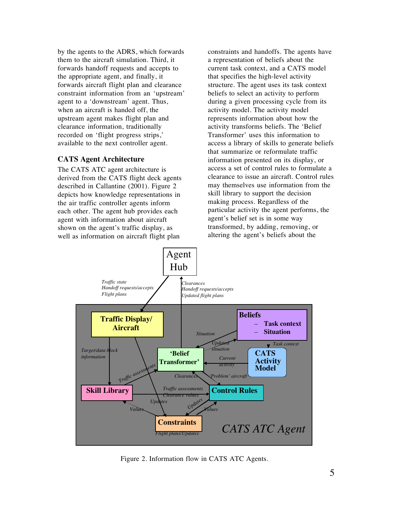by the agents to the ADRS, which forwards them to the aircraft simulation. Third, it forwards handoff requests and accepts to the appropriate agent, and finally, it forwards aircraft flight plan and clearance constraint information from an 'upstream' agent to a 'downstream' agent. Thus, when an aircraft is handed off, the upstream agent makes flight plan and clearance information, traditionally recorded on 'flight progress strips,' available to the next controller agent.

### **CATS Agent Architecture**

The CATS ATC agent architecture is derived from the CATS flight deck agents described in Callantine (2001). Figure 2 depicts how knowledge representations in the air traffic controller agents inform each other. The agent hub provides each agent with information about aircraft shown on the agent's traffic display, as well as information on aircraft flight plan

constraints and handoffs. The agents have a representation of beliefs about the current task context, and a CATS model that specifies the high-level activity structure. The agent uses its task context beliefs to select an activity to perform during a given processing cycle from its activity model. The activity model represents information about how the activity transforms beliefs. The 'Belief Transformer' uses this information to access a library of skills to generate beliefs that summarize or reformulate traffic information presented on its display, or access a set of control rules to formulate a clearance to issue an aircraft. Control rules may themselves use information from the skill library to support the decision making process. Regardless of the particular activity the agent performs, the agent's belief set is in some way transformed, by adding, removing, or altering the agent's beliefs about the



Figure 2. Information flow in CATS ATC Agents.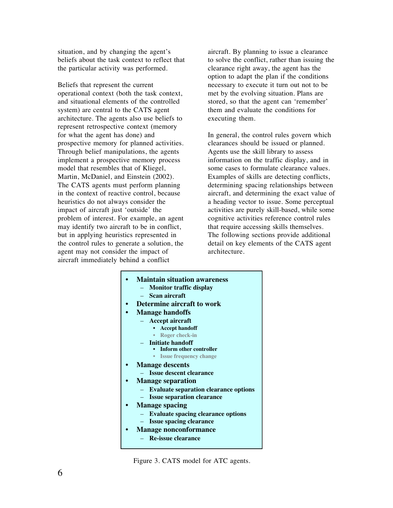situation, and by changing the agent's beliefs about the task context to reflect that the particular activity was performed.

Beliefs that represent the current operational context (both the task context, and situational elements of the controlled system) are central to the CATS agent architecture. The agents also use beliefs to represent retrospective context (memory for what the agent has done) and prospective memory for planned activities. Through belief manipulations, the agents implement a prospective memory process model that resembles that of Kliegel, Martin, McDaniel, and Einstein (2002). The CATS agents must perform planning in the context of reactive control, because heuristics do not always consider the impact of aircraft just 'outside' the problem of interest. For example, an agent may identify two aircraft to be in conflict, but in applying heuristics represented in the control rules to generate a solution, the agent may not consider the impact of aircraft immediately behind a conflict

aircraft. By planning to issue a clearance to solve the conflict, rather than issuing the clearance right away, the agent has the option to adapt the plan if the conditions necessary to execute it turn out not to be met by the evolving situation. Plans are stored, so that the agent can 'remember' them and evaluate the conditions for executing them.

In general, the control rules govern which clearances should be issued or planned. Agents use the skill library to assess information on the traffic display, and in some cases to formulate clearance values. Examples of skills are detecting conflicts, determining spacing relationships between aircraft, and determining the exact value of a heading vector to issue. Some perceptual activities are purely skill-based, while some cognitive activities reference control rules that require accessing skills themselves. The following sections provide additional detail on key elements of the CATS agent architecture.

- **Maintain situation awareness**
	- **Monitor traffic display**
	- **Scan aircraft**
- **Determine aircraft to work**
- **Manage handoffs**
	- **Accept aircraft**
		- **Accept handoff**
		- **Roger check-in**
		- **Initiate handoff**
			- **Inform other controller**
			- **Issue frequency change**
- **Manage descents**
	- **Issue descent clearance**
- **Manage separation**
	- **Evaluate separation clearance options**
	- **Issue separation clearance**
- **Manage spacing**
	- **Evaluate spacing clearance options**
	- **Issue spacing clearance**
- **Manage nonconformance**
	- **Re-issue clearance**

Figure 3. CATS model for ATC agents.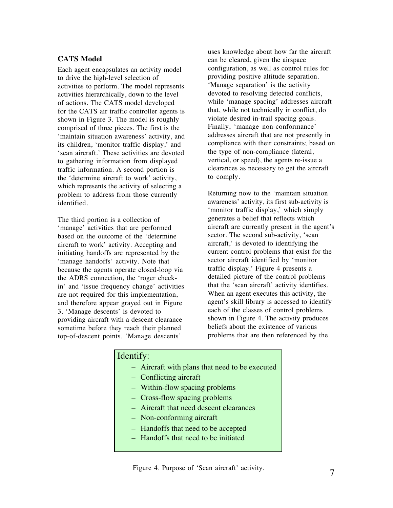## **CATS Model**

Each agent encapsulates an activity model to drive the high-level selection of activities to perform. The model represents activities hierarchically, down to the level of actions. The CATS model developed for the CATS air traffic controller agents is shown in Figure 3. The model is roughly comprised of three pieces. The first is the 'maintain situation awareness' activity, and its children, 'monitor traffic display,' and 'scan aircraft.' These activities are devoted to gathering information from displayed traffic information. A second portion is the 'determine aircraft to work' activity, which represents the activity of selecting a problem to address from those currently identified.

The third portion is a collection of 'manage' activities that are performed based on the outcome of the 'determine aircraft to work' activity. Accepting and initiating handoffs are represented by the 'manage handoffs' activity. Note that because the agents operate closed-loop via the ADRS connection, the 'roger checkin' and 'issue frequency change' activities are not required for this implementation, and therefore appear grayed out in Figure 3. 'Manage descents' is devoted to providing aircraft with a descent clearance sometime before they reach their planned top-of-descent points. 'Manage descents'

uses knowledge about how far the aircraft can be cleared, given the airspace configuration, as well as control rules for providing positive altitude separation. 'Manage separation' is the activity devoted to resolving detected conflicts, while 'manage spacing' addresses aircraft that, while not technically in conflict, do violate desired in-trail spacing goals. Finally, 'manage non-conformance' addresses aircraft that are not presently in compliance with their constraints; based on the type of non-compliance (lateral, vertical, or speed), the agents re-issue a clearances as necessary to get the aircraft to comply.

Returning now to the 'maintain situation awareness' activity, its first sub-activity is 'monitor traffic display,' which simply generates a belief that reflects which aircraft are currently present in the agent's sector. The second sub-activity, 'scan aircraft,' is devoted to identifying the current control problems that exist for the sector aircraft identified by 'monitor traffic display.' Figure 4 presents a detailed picture of the control problems that the 'scan aircraft' activity identifies. When an agent executes this activity, the agent's skill library is accessed to identify each of the classes of control problems shown in Figure 4. The activity produces beliefs about the existence of various problems that are then referenced by the

## Identify:

- Aircraft with plans that need to be executed
- Conflicting aircraft
- Within-flow spacing problems
- Cross-flow spacing problems
- Aircraft that need descent clearances
- Non-conforming aircraft
- Handoffs that need to be accepted
- Handoffs that need to be initiated

Figure 4. Purpose of 'Scan aircraft' activity.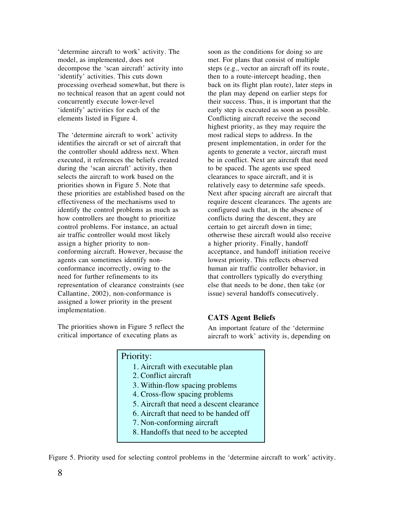'determine aircraft to work' activity. The model, as implemented, does not decompose the 'scan aircraft' activity into 'identify' activities. This cuts down processing overhead somewhat, but there is no technical reason that an agent could not concurrently execute lower-level 'identify' activities for each of the elements listed in Figure 4.

The 'determine aircraft to work' activity identifies the aircraft or set of aircraft that the controller should address next. When executed, it references the beliefs created during the 'scan aircraft' activity, then selects the aircraft to work based on the priorities shown in Figure 5. Note that these priorities are established based on the effectiveness of the mechanisms used to identify the control problems as much as how controllers are thought to prioritize control problems. For instance, an actual air traffic controller would most likely assign a higher priority to nonconforming aircraft. However, because the agents can sometimes identify nonconformance incorrectly, owing to the need for further refinements to its representation of clearance constraints (see Callantine, 2002), non-conformance is assigned a lower priority in the present implementation.

The priorities shown in Figure 5 reflect the critical importance of executing plans as

soon as the conditions for doing so are met. For plans that consist of multiple steps (e.g., vector an aircraft off its route, then to a route-intercept heading, then back on its flight plan route), later steps in the plan may depend on earlier steps for their success. Thus, it is important that the early step is executed as soon as possible. Conflicting aircraft receive the second highest priority, as they may require the most radical steps to address. In the present implementation, in order for the agents to generate a vector, aircraft must be in conflict. Next are aircraft that need to be spaced. The agents use speed clearances to space aircraft, and it is relatively easy to determine safe speeds. Next after spacing aircraft are aircraft that require descent clearances. The agents are configured such that, in the absence of conflicts during the descent, they are certain to get aircraft down in time; otherwise these aircraft would also receive a higher priority. Finally, handoff acceptance, and handoff initiation receive lowest priority. This reflects observed human air traffic controller behavior, in that controllers typically do everything else that needs to be done, then take (or issue) several handoffs consecutively.

### **CATS Agent Beliefs**

An important feature of the 'determine aircraft to work' activity is, depending on

#### Priority:

- 1. Aircraft with executable plan
- 2. Conflict aircraft
- 3. Within-flow spacing problems
- 4. Cross-flow spacing problems
- 5. Aircraft that need a descent clearance
- 6. Aircraft that need to be handed off
- 7. Non-conforming aircraft
- 8. Handoffs that need to be accepted

Figure 5. Priority used for selecting control problems in the 'determine aircraft to work' activity.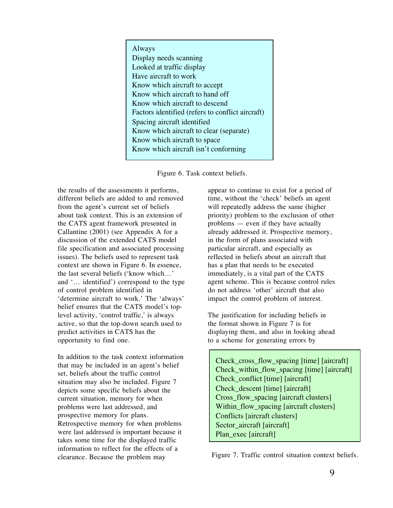Always Display needs scanning Looked at traffic display Have aircraft to work Know which aircraft to accept Know which aircraft to hand off Know which aircraft to descend Factors identified (refers to conflict aircraft) Spacing aircraft identified Know which aircraft to clear (separate) Know which aircraft to space Know which aircraft isn't conforming

Figure 6. Task context beliefs.

the results of the assessments it performs, different beliefs are added to and removed from the agent's current set of beliefs about task context. This is an extension of the CATS agent framework presented in Callantine (2001) (see Appendix A for a discussion of the extended CATS model file specification and associated processing issues). The beliefs used to represent task context are shown in Figure 6. In essence, the last several beliefs ('know which…' and '… identified') correspond to the type of control problem identified in 'determine aircraft to work.' The 'always' belief ensures that the CATS model's toplevel activity, 'control traffic,' is always active, so that the top-down search used to predict activities in CATS has the opportunity to find one.

In addition to the task context information that may be included in an agent's belief set, beliefs about the traffic control situation may also be included. Figure 7 depicts some specific beliefs about the current situation, memory for when problems were last addressed, and prospective memory for plans. Retrospective memory for when problems were last addressed is important because it takes some time for the displayed traffic information to reflect for the effects of a clearance. Because the problem may

appear to continue to exist for a period of time, without the 'check' beliefs an agent will repeatedly address the same (higher priority) problem to the exclusion of other problems — even if they have actually already addressed it. Prospective memory, in the form of plans associated with particular aircraft, and especially as reflected in beliefs about an aircraft that has a plan that needs to be executed immediately, is a vital part of the CATS agent scheme. This is because control rules do not address 'other' aircraft that also impact the control problem of interest.

The justification for including beliefs in the format shown in Figure 7 is for displaying them, and also in looking ahead to a scheme for generating errors by

Check\_cross\_flow\_spacing [time] [aircraft] Check\_within\_flow\_spacing [time] [aircraft] Check\_conflict [time] [aircraft] Check\_descent [time] [aircraft] Cross\_flow\_spacing [aircraft clusters] Within\_flow\_spacing [aircraft clusters] Conflicts [aircraft clusters] Sector\_aircraft [aircraft] Plan\_exec [aircraft]

Figure 7. Traffic control situation context beliefs.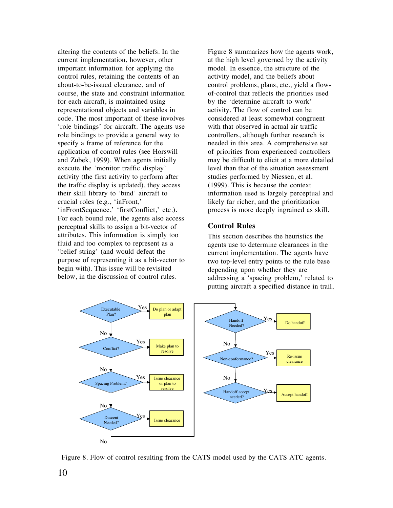altering the contents of the beliefs. In the current implementation, however, other important information for applying the control rules, retaining the contents of an about-to-be-issued clearance, and of course, the state and constraint information for each aircraft, is maintained using representational objects and variables in code. The most important of these involves 'role bindings' for aircraft. The agents use role bindings to provide a general way to specify a frame of reference for the application of control rules (see Horswill and Zubek, 1999). When agents initially execute the 'monitor traffic display' activity (the first activity to perform after the traffic display is updated), they access their skill library to 'bind' aircraft to crucial roles (e.g., 'inFront,' 'inFrontSequence,' 'firstConflict,' etc.). For each bound role, the agents also access perceptual skills to assign a bit-vector of attributes. This information is simply too fluid and too complex to represent as a 'belief string' (and would defeat the purpose of representing it as a bit-vector to begin with). This issue will be revisited below, in the discussion of control rules.

Figure 8 summarizes how the agents work, at the high level governed by the activity model. In essence, the structure of the activity model, and the beliefs about control problems, plans, etc., yield a flowof-control that reflects the priorities used by the 'determine aircraft to work' activity. The flow of control can be considered at least somewhat congruent with that observed in actual air traffic controllers, although further research is needed in this area. A comprehensive set of priorities from experienced controllers may be difficult to elicit at a more detailed level than that of the situation assessment studies performed by Niessen, et al. (1999). This is because the context information used is largely perceptual and likely far richer, and the prioritization process is more deeply ingrained as skill.

## **Control Rules**

This section describes the heuristics the agents use to determine clearances in the current implementation. The agents have two top-level entry points to the rule base depending upon whether they are addressing a 'spacing problem,' related to putting aircraft a specified distance in trail,



Figure 8. Flow of control resulting from the CATS model used by the CATS ATC agents.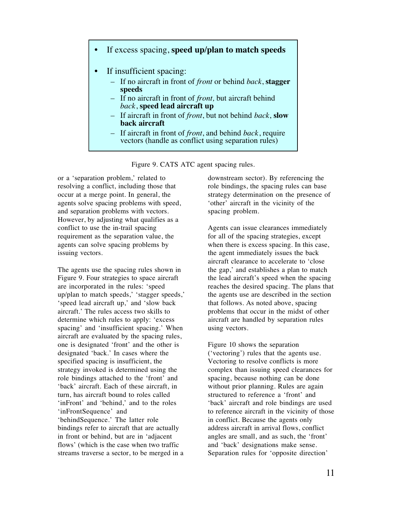

Figure 9. CATS ATC agent spacing rules.

or a 'separation problem,' related to resolving a conflict, including those that occur at a merge point. In general, the agents solve spacing problems with speed, and separation problems with vectors. However, by adjusting what qualifies as a conflict to use the in-trail spacing requirement as the separation value, the agents can solve spacing problems by issuing vectors.

The agents use the spacing rules shown in Figure 9. Four strategies to space aircraft are incorporated in the rules: 'speed up/plan to match speeds,' 'stagger speeds,' 'speed lead aircraft up,' and 'slow back aircraft.' The rules access two skills to determine which rules to apply: 'excess spacing' and 'insufficient spacing.' When aircraft are evaluated by the spacing rules, one is designated 'front' and the other is designated 'back.' In cases where the specified spacing is insufficient, the strategy invoked is determined using the role bindings attached to the 'front' and 'back' aircraft. Each of these aircraft, in turn, has aircraft bound to roles called 'inFront' and 'behind,' and to the roles 'inFrontSequence' and 'behindSequence.' The latter role bindings refer to aircraft that are actually in front or behind, but are in 'adjacent flows' (which is the case when two traffic streams traverse a sector, to be merged in a

downstream sector). By referencing the role bindings, the spacing rules can base strategy determination on the presence of 'other' aircraft in the vicinity of the spacing problem.

Agents can issue clearances immediately for all of the spacing strategies, except when there is excess spacing. In this case, the agent immediately issues the back aircraft clearance to accelerate to 'close the gap,' and establishes a plan to match the lead aircraft's speed when the spacing reaches the desired spacing. The plans that the agents use are described in the section that follows. As noted above, spacing problems that occur in the midst of other aircraft are handled by separation rules using vectors.

Figure 10 shows the separation ('vectoring') rules that the agents use. Vectoring to resolve conflicts is more complex than issuing speed clearances for spacing, because nothing can be done without prior planning. Rules are again structured to reference a 'front' and 'back' aircraft and role bindings are used to reference aircraft in the vicinity of those in conflict. Because the agents only address aircraft in arrival flows, conflict angles are small, and as such, the 'front' and 'back' designations make sense. Separation rules for 'opposite direction'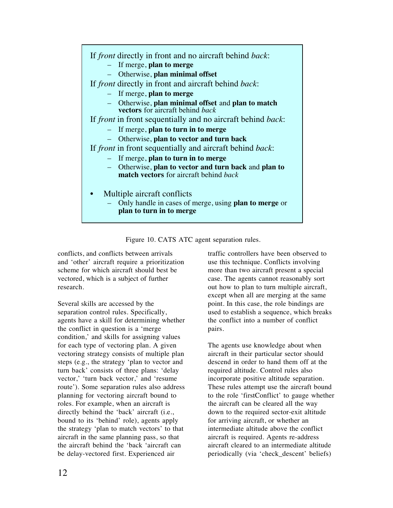If *front* directly in front and no aircraft behind *back*:

- If merge, **plan to merge**
- Otherwise, **plan minimal offset**
- If *front* directly in front and aircraft behind *back*:
	- If merge, **plan to merge**
	- Otherwise, **plan minimal offset** and **plan to match vectors** for aircraft behind *back*

If *front* in front sequentially and no aircraft behind *back*:

- If merge, **plan to turn in to merge**
- Otherwise, **plan to vector and turn back**

If *front* in front sequentially and aircraft behind *back*:

- If merge, **plan to turn in to merge**
- Otherwise, **plan to vector and turn back** and **plan to match vectors** for aircraft behind *back*
- Multiple aircraft conflicts
	- Only handle in cases of merge, using **plan to merge** or **plan to turn in to merge**

Figure 10. CATS ATC agent separation rules.

conflicts, and conflicts between arrivals and 'other' aircraft require a prioritization scheme for which aircraft should best be vectored, which is a subject of further research.

Several skills are accessed by the separation control rules. Specifically, agents have a skill for determining whether the conflict in question is a 'merge condition,' and skills for assigning values for each type of vectoring plan. A given vectoring strategy consists of multiple plan steps (e.g., the strategy 'plan to vector and turn back' consists of three plans: 'delay vector,' 'turn back vector,' and 'resume route'). Some separation rules also address planning for vectoring aircraft bound to roles. For example, when an aircraft is directly behind the 'back' aircraft (i.e., bound to its 'behind' role), agents apply the strategy 'plan to match vectors' to that aircraft in the same planning pass, so that the aircraft behind the 'back 'aircraft can be delay-vectored first. Experienced air

traffic controllers have been observed to use this technique. Conflicts involving more than two aircraft present a special case. The agents cannot reasonably sort out how to plan to turn multiple aircraft, except when all are merging at the same point. In this case, the role bindings are used to establish a sequence, which breaks the conflict into a number of conflict pairs.

The agents use knowledge about when aircraft in their particular sector should descend in order to hand them off at the required altitude. Control rules also incorporate positive altitude separation. These rules attempt use the aircraft bound to the role 'firstConflict' to gauge whether the aircraft can be cleared all the way down to the required sector-exit altitude for arriving aircraft, or whether an intermediate altitude above the conflict aircraft is required. Agents re-address aircraft cleared to an intermediate altitude periodically (via 'check\_descent' beliefs)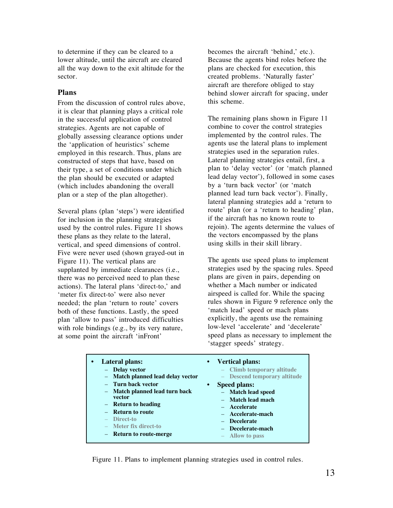to determine if they can be cleared to a lower altitude, until the aircraft are cleared all the way down to the exit altitude for the sector.

#### **Plans**

From the discussion of control rules above, it is clear that planning plays a critical role in the successful application of control strategies. Agents are not capable of globally assessing clearance options under the 'application of heuristics' scheme employed in this research. Thus, plans are constructed of steps that have, based on their type, a set of conditions under which the plan should be executed or adapted (which includes abandoning the overall plan or a step of the plan altogether).

Several plans (plan 'steps') were identified for inclusion in the planning strategies used by the control rules. Figure 11 shows these plans as they relate to the lateral, vertical, and speed dimensions of control. Five were never used (shown grayed-out in Figure 11). The vertical plans are supplanted by immediate clearances (i.e., there was no perceived need to plan these actions). The lateral plans 'direct-to,' and 'meter fix direct-to' were also never needed; the plan 'return to route' covers both of these functions. Lastly, the speed plan 'allow to pass' introduced difficulties with role bindings (e.g., by its very nature, at some point the aircraft 'inFront'

becomes the aircraft 'behind,' etc.). Because the agents bind roles before the plans are checked for execution, this created problems. 'Naturally faster' aircraft are therefore obliged to stay behind slower aircraft for spacing, under this scheme.

The remaining plans shown in Figure 11 combine to cover the control strategies implemented by the control rules. The agents use the lateral plans to implement strategies used in the separation rules. Lateral planning strategies entail, first, a plan to 'delay vector' (or 'match planned lead delay vector'), followed in some cases by a 'turn back vector' (or 'match planned lead turn back vector'). Finally, lateral planning strategies add a 'return to route' plan (or a 'return to heading' plan, if the aircraft has no known route to rejoin). The agents determine the values of the vectors encompassed by the plans using skills in their skill library.

The agents use speed plans to implement strategies used by the spacing rules. Speed plans are given in pairs, depending on whether a Mach number or indicated airspeed is called for. While the spacing rules shown in Figure 9 reference only the 'match lead' speed or mach plans explicitly, the agents use the remaining low-level 'accelerate' and 'decelerate' speed plans as necessary to implement the 'stagger speeds' strategy.

| Lateral plans:                    | <b>Vertical plans:</b><br>$\bullet$ |
|-----------------------------------|-------------------------------------|
| - Delay vector                    | - Climb temporary altitude          |
| - Match planned lead delay vector | - Descend temporary altitude        |
| - Turn back vector                | <b>Speed plans:</b><br>٠            |
| - Match planned lead turn back    | - Match lead speed                  |
| vector                            | - Match lead mach                   |
| $-$ Return to heading             | - Accelerate                        |
| - Return to route                 | - Accelerate-mach                   |
| $-$ Direct-to                     | - Decelerate                        |
| $-$ Meter fix direct-to           | - Decelerate-mach                   |
| $-$ Return to route-merge         | - Allow to pass                     |

Figure 11. Plans to implement planning strategies used in control rules.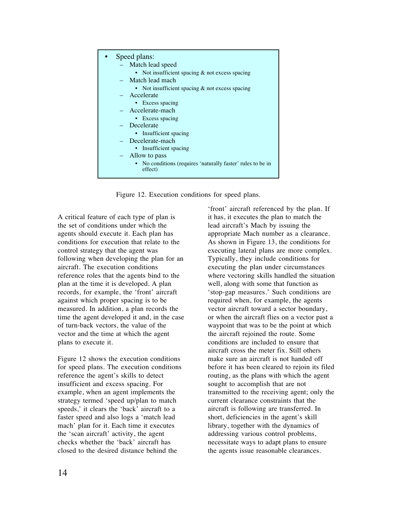|  | Speed plans:                                                           |
|--|------------------------------------------------------------------------|
|  | - Match lead speed                                                     |
|  | • Not insufficient spacing $\&$ not excess spacing                     |
|  | - Match lead mach                                                      |
|  | • Not insufficient spacing $\&$ not excess spacing                     |
|  | $-$ Accelerate                                                         |
|  | • Excess spacing                                                       |
|  | - Accelerate-mach                                                      |
|  | • Excess spacing                                                       |
|  | - Decelerate                                                           |
|  | • Insufficient spacing                                                 |
|  | - Decelerate-mach                                                      |
|  | • Insufficient spacing                                                 |
|  | - Allow to pass                                                        |
|  | • No conditions (requires 'naturally faster' rules to be in<br>effect) |

Figure 12. Execution conditions for speed plans.

A critical feature of each type of plan is the set of conditions under which the agents should execute it. Each plan has conditions for execution that relate to the control strategy that the agent was following when developing the plan for an aircraft. The execution conditions reference roles that the agents bind to the plan at the time it is developed. A plan records, for example, the 'front' aircraft against which proper spacing is to be measured. In addition, a plan records the time the agent developed it and, in the case of turn-back vectors, the value of the vector and the time at which the agent plans to execute it.

Figure 12 shows the execution conditions for speed plans. The execution conditions reference the agent's skills to detect insufficient and excess spacing. For example, when an agent implements the strategy termed 'speed up/plan to match speeds,' it clears the 'back' aircraft to a faster speed and also logs a 'match lead mach' plan for it. Each time it executes the 'scan aircraft' activity, the agent checks whether the 'back' aircraft has closed to the desired distance behind the

'front' aircraft referenced by the plan. If it has, it executes the plan to match the lead aircraft's Mach by issuing the appropriate Mach number as a clearance. As shown in Figure 13, the conditions for executing lateral plans are more complex. Typically, they include conditions for executing the plan under circumstances where vectoring skills handled the situation well, along with some that function as 'stop-gap measures.' Such conditions are required when, for example, the agents vector aircraft toward a sector boundary, or when the aircraft flies on a vector past a waypoint that was to be the point at which the aircraft rejoined the route. Some conditions are included to ensure that aircraft cross the meter fix. Still others make sure an aircraft is not handed off before it has been cleared to rejoin its filed routing, as the plans with which the agent sought to accomplish that are not transmitted to the receiving agent; only the current clearance constraints that the aircraft is following are transferred. In short, deficiencies in the agent's skill library, together with the dynamics of addressing various control problems, necessitate ways to adapt plans to ensure the agents issue reasonable clearances.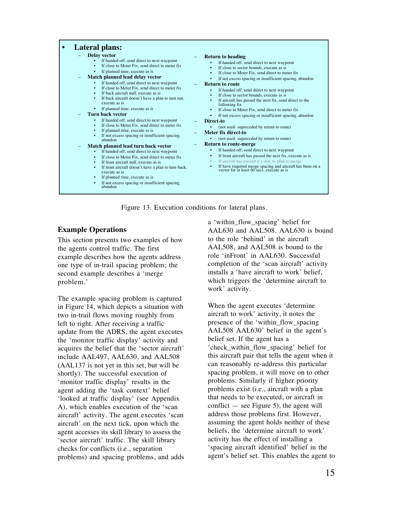| <b>Lateral plans:</b><br><b>Delay vector</b><br>If handed off, send direct to next waypoint<br>If close to Meter Fix, send direct to meter fix<br>$\bullet$<br>If planned time, execute as is<br>$\bullet$<br>Match planned lead delay vector<br>If handed off, send direct to next waypoint<br>٠<br>If close to Meter Fix, send direct to meter fix<br>$\bullet$<br>If back aircraft null, execute as is<br>$\bullet$<br>If back aircraft doesn't have a plan to turn out,<br>$\bullet$<br>execute as is<br>If planned time, execute as is<br>$\bullet$<br>Turn back vector<br>If handed off, send direct to next waypoint<br>$\bullet$<br>If close to Meter Fix, send direct to meter fix<br>$\bullet$<br>If planned time, execute as is<br>$\bullet$<br>If not excess spacing or insufficient spacing,<br>$\bullet$<br>abandon<br>Match planned lead turn back vector<br>If handed off, send direct to next waypoint<br>٠<br>If close to Meter Fix, send direct to meter fix<br>٠<br>If front aircraft null, execute as is<br>٠<br>If front aircraft doesn't have a plan to turn back,<br>$\bullet$<br>execute as is<br>If planned time, execute as is<br>٠<br>If not excess spacing or insufficient spacing,<br>$\bullet$ | <b>Return to heading</b><br>If handed off, send direct to next waypoint<br>If close to sector bounds, execute as is<br>If close to Meter Fix, send direct to meter fix<br>If not excess spacing or insufficient spacing, abandon<br><b>Return to route</b><br>If handed off, send direct to next waypoint<br>If close to sector bounds, execute as is<br>If aircraft has passed the next fix, send direct to the<br>following fix<br>If close to Meter Fix, send direct to meter fix<br>If not excess spacing or insufficient spacing, abandon<br>Direct-to<br>(not used-superceded by return to route)<br>Meter fix direct-to<br>(not used-superceded by return to route)<br><b>Return to route-merge</b><br>If handed off, send direct to next waypoint<br>If front aircraft has passed the next fix, execute as is<br>If aircraft has missed it's slot, re-plan to merge<br>If have required merge spacing and aircraft has been on a vector for at least 60 secs, execute as is |
|-------------------------------------------------------------------------------------------------------------------------------------------------------------------------------------------------------------------------------------------------------------------------------------------------------------------------------------------------------------------------------------------------------------------------------------------------------------------------------------------------------------------------------------------------------------------------------------------------------------------------------------------------------------------------------------------------------------------------------------------------------------------------------------------------------------------------------------------------------------------------------------------------------------------------------------------------------------------------------------------------------------------------------------------------------------------------------------------------------------------------------------------------------------------------------------------------------------------------------|-------------------------------------------------------------------------------------------------------------------------------------------------------------------------------------------------------------------------------------------------------------------------------------------------------------------------------------------------------------------------------------------------------------------------------------------------------------------------------------------------------------------------------------------------------------------------------------------------------------------------------------------------------------------------------------------------------------------------------------------------------------------------------------------------------------------------------------------------------------------------------------------------------------------------------------------------------------------------------------|
| abandon                                                                                                                                                                                                                                                                                                                                                                                                                                                                                                                                                                                                                                                                                                                                                                                                                                                                                                                                                                                                                                                                                                                                                                                                                       |                                                                                                                                                                                                                                                                                                                                                                                                                                                                                                                                                                                                                                                                                                                                                                                                                                                                                                                                                                                     |

Figure 13. Execution conditions for lateral plans.

## **Example Operations**

This section presents two examples of how the agents control traffic. The first example describes how the agents address one type of in-trail spacing problem; the second example describes a 'merge problem.'

The example spacing problem is captured in Figure 14, which depicts a situation with two in-trail flows moving roughly from left to right. After receiving a traffic update from the ADRS, the agent executes the 'monitor traffic display' activity and acquires the belief that the 'sector aircraft' include AAL497, AAL630, and AAL508 (AAL137 is not yet in this set, but will be shortly). The successful execution of 'monitor traffic display' results in the agent adding the 'task context' belief 'looked at traffic display' (see Appendix A), which enables execution of the 'scan aircraft' activity. The agent executes 'scan aircraft' on the next tick, upon which the agent accesses its skill library to assess the 'sector aircraft' traffic. The skill library checks for conflicts (i.e., separation problems) and spacing problems, and adds

a 'within\_flow\_spacing' belief for AAL630 and AAL508. AAL630 is bound to the role 'behind' in the aircraft AAL508, and AAL508 is bound to the role 'inFront' in AAL630. Successful completion of the 'scan aircraft' activity installs a 'have aircraft to work' belief, which triggers the 'determine aircraft to work' activity.

When the agent executes 'determine aircraft to work' activity, it notes the presence of the 'within\_flow\_spacing AAL508 AAL630' belief in the agent's belief set. If the agent has a 'check\_within\_flow\_spacing' belief for this aircraft pair that tells the agent when it can reasonably re-address this particular spacing problem, it will move on to other problems. Similarly if higher priority problems exist (i.e., aircraft with a plan that needs to be executed, or aircraft in conflict  $-$  see Figure 5), the agent will address those problems first. However, assuming the agent holds neither of these beliefs, the 'determine aircraft to work' activity has the effect of installing a 'spacing aircraft identified' belief in the agent's belief set. This enables the agent to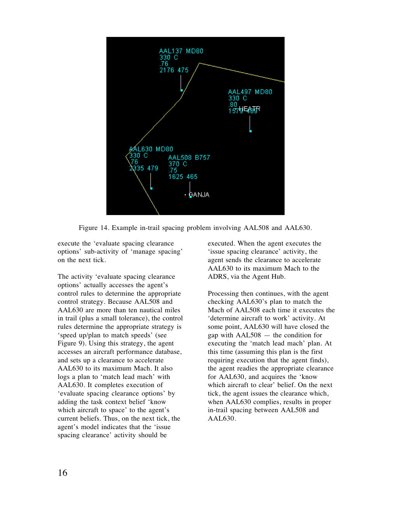

Figure 14. Example in-trail spacing problem involving AAL508 and AAL630.

execute the 'evaluate spacing clearance options' sub-activity of 'manage spacing' on the next tick.

The activity 'evaluate spacing clearance options' actually accesses the agent's control rules to determine the appropriate control strategy. Because AAL508 and AAL630 are more than ten nautical miles in trail (plus a small tolerance), the control rules determine the appropriate strategy is 'speed up/plan to match speeds' (see Figure 9). Using this strategy, the agent accesses an aircraft performance database, and sets up a clearance to accelerate AAL630 to its maximum Mach. It also logs a plan to 'match lead mach' with AAL630. It completes execution of 'evaluate spacing clearance options' by adding the task context belief 'know which aircraft to space' to the agent's current beliefs. Thus, on the next tick, the agent's model indicates that the 'issue spacing clearance' activity should be

executed. When the agent executes the 'issue spacing clearance' activity, the agent sends the clearance to accelerate AAL630 to its maximum Mach to the ADRS, via the Agent Hub.

Processing then continues, with the agent checking AAL630's plan to match the Mach of AAL508 each time it executes the 'determine aircraft to work' activity. At some point, AAL630 will have closed the gap with AAL508 — the condition for executing the 'match lead mach' plan. At this time (assuming this plan is the first requiring execution that the agent finds), the agent readies the appropriate clearance for AAL630, and acquires the 'know which aircraft to clear' belief. On the next tick, the agent issues the clearance which, when AAL630 complies, results in proper in-trail spacing between AAL508 and AAL630.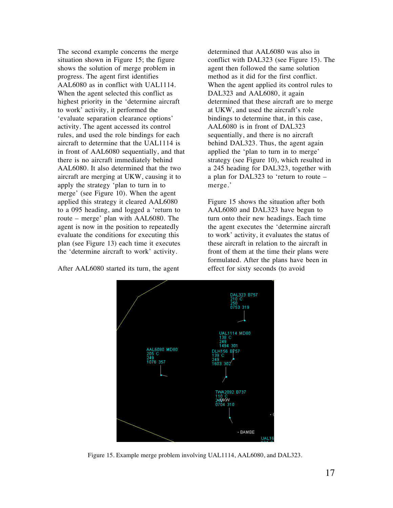The second example concerns the merge situation shown in Figure 15; the figure shows the solution of merge problem in progress. The agent first identifies AAL6080 as in conflict with UAL1114. When the agent selected this conflict as highest priority in the 'determine aircraft to work' activity, it performed the 'evaluate separation clearance options' activity. The agent accessed its control rules, and used the role bindings for each aircraft to determine that the UAL1114 is in front of AAL6080 sequentially, and that there is no aircraft immediately behind AAL6080. It also determined that the two aircraft are merging at UKW, causing it to apply the strategy 'plan to turn in to merge' (see Figure 10). When the agent applied this strategy it cleared AAL6080 to a 095 heading, and logged a 'return to route – merge' plan with AAL6080. The agent is now in the position to repeatedly evaluate the conditions for executing this plan (see Figure 13) each time it executes the 'determine aircraft to work' activity.

After AAL6080 started its turn, the agent

determined that AAL6080 was also in conflict with DAL323 (see Figure 15). The agent then followed the same solution method as it did for the first conflict. When the agent applied its control rules to DAL323 and AAL6080, it again determined that these aircraft are to merge at UKW, and used the aircraft's role bindings to determine that, in this case, AAL6080 is in front of DAL323 sequentially, and there is no aircraft behind DAL323. Thus, the agent again applied the 'plan to turn in to merge' strategy (see Figure 10), which resulted in a 245 heading for DAL323, together with a plan for DAL323 to 'return to route – merge.'

Figure 15 shows the situation after both AAL6080 and DAL323 have begun to turn onto their new headings. Each time the agent executes the 'determine aircraft to work' activity, it evaluates the status of these aircraft in relation to the aircraft in front of them at the time their plans were formulated. After the plans have been in effect for sixty seconds (to avoid



Figure 15. Example merge problem involving UAL1114, AAL6080, and DAL323.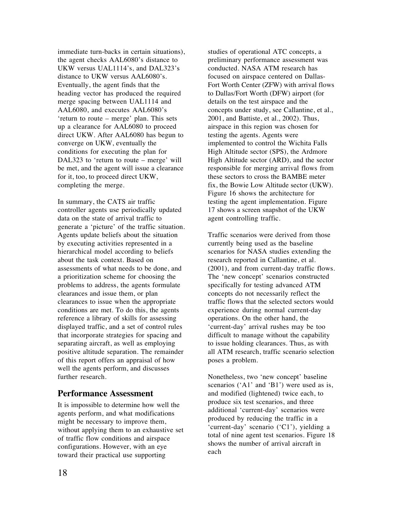immediate turn-backs in certain situations), the agent checks AAL6080's distance to UKW versus UAL1114's, and DAL323's distance to UKW versus AAL6080's. Eventually, the agent finds that the heading vector has produced the required merge spacing between UAL1114 and AAL6080, and executes AAL6080's 'return to route – merge' plan. This sets up a clearance for AAL6080 to proceed direct UKW. After AAL6080 has begun to converge on UKW, eventually the conditions for executing the plan for DAL323 to 'return to route – merge' will be met, and the agent will issue a clearance for it, too, to proceed direct UKW, completing the merge.

In summary, the CATS air traffic controller agents use periodically updated data on the state of arrival traffic to generate a 'picture' of the traffic situation. Agents update beliefs about the situation by executing activities represented in a hierarchical model according to beliefs about the task context. Based on assessments of what needs to be done, and a prioritization scheme for choosing the problems to address, the agents formulate clearances and issue them, or plan clearances to issue when the appropriate conditions are met. To do this, the agents reference a library of skills for assessing displayed traffic, and a set of control rules that incorporate strategies for spacing and separating aircraft, as well as employing positive altitude separation. The remainder of this report offers an appraisal of how well the agents perform, and discusses further research.

# **Performance Assessment**

It is impossible to determine how well the agents perform, and what modifications might be necessary to improve them, without applying them to an exhaustive set of traffic flow conditions and airspace configurations. However, with an eye toward their practical use supporting

studies of operational ATC concepts, a preliminary performance assessment was conducted. NASA ATM research has focused on airspace centered on Dallas-Fort Worth Center (ZFW) with arrival flows to Dallas/Fort Worth (DFW) airport (for details on the test airspace and the concepts under study, see Callantine, et al., 2001, and Battiste, et al., 2002). Thus, airspace in this region was chosen for testing the agents. Agents were implemented to control the Wichita Falls High Altitude sector (SPS), the Ardmore High Altitude sector (ARD), and the sector responsible for merging arrival flows from these sectors to cross the BAMBE meter fix, the Bowie Low Altitude sector (UKW). Figure 16 shows the architecture for testing the agent implementation. Figure 17 shows a screen snapshot of the UKW agent controlling traffic.

Traffic scenarios were derived from those currently being used as the baseline scenarios for NASA studies extending the research reported in Callantine, et al. (2001), and from current-day traffic flows. The 'new concept' scenarios constructed specifically for testing advanced ATM concepts do not necessarily reflect the traffic flows that the selected sectors would experience during normal current-day operations. On the other hand, the 'current-day' arrival rushes may be too difficult to manage without the capability to issue holding clearances. Thus, as with all ATM research, traffic scenario selection poses a problem.

Nonetheless, two 'new concept' baseline scenarios ('A1' and 'B1') were used as is, and modified (lightened) twice each, to produce six test scenarios, and three additional 'current-day' scenarios were produced by reducing the traffic in a 'current-day' scenario ('C1'), yielding a total of nine agent test scenarios. Figure 18 shows the number of arrival aircraft in each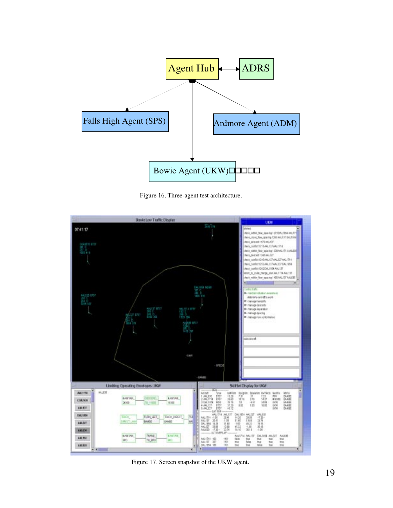

Figure 16. Three-agent test architecture.



Figure 17. Screen snapshot of the UKW agent.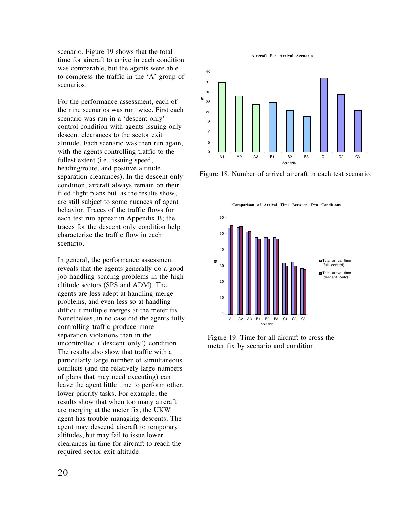scenario. Figure 19 shows that the total time for aircraft to arrive in each condition was comparable, but the agents were able to compress the traffic in the 'A' group of scenarios.

For the performance assessment, each of the nine scenarios was run twice. First each scenario was run in a 'descent only' control condition with agents issuing only descent clearances to the sector exit altitude. Each scenario was then run again, with the agents controlling traffic to the fullest extent (i.e., issuing speed, heading/route, and positive altitude separation clearances). In the descent only condition, aircraft always remain on their filed flight plans but, as the results show, are still subject to some nuances of agent behavior. Traces of the traffic flows for each test run appear in Appendix B; the traces for the descent only condition help characterize the traffic flow in each scenario.

In general, the performance assessment reveals that the agents generally do a good job handling spacing problems in the high altitude sectors (SPS and ADM). The agents are less adept at handling merge problems, and even less so at handling difficult multiple merges at the meter fix. Nonetheless, in no case did the agents fully controlling traffic produce more separation violations than in the uncontrolled ('descent only') condition. The results also show that traffic with a particularly large number of simultaneous conflicts (and the relatively large numbers of plans that may need executing) can leave the agent little time to perform other, lower priority tasks. For example, the results show that when too many aircraft are merging at the meter fix, the UKW agent has trouble managing descents. The agent may descend aircraft to temporary altitudes, but may fail to issue lower clearances in time for aircraft to reach the required sector exit altitude.

**Aircraft Per Arrival Scenario**



Figure 18. Number of arrival aircraft in each test scenario.



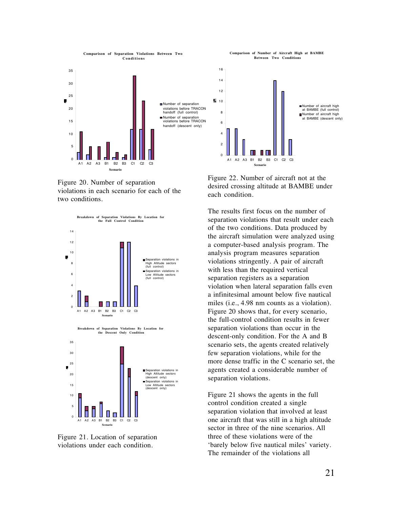

Figure 20. Number of separation violations in each scenario for each of the two conditions.





Figure 21. Location of separation violations under each condition.



**Comparison of Number of Aircraft High at BAMBE Between Two Conditions**

Figure 22. Number of aircraft not at the desired crossing altitude at BAMBE under each condition.

The results first focus on the number of separation violations that result under each of the two conditions. Data produced by the aircraft simulation were analyzed using a computer-based analysis program. The analysis program measures separation violations stringently. A pair of aircraft with less than the required vertical separation registers as a separation violation when lateral separation falls even a infinitesimal amount below five nautical miles (i.e., 4.98 nm counts as a violation). Figure 20 shows that, for every scenario, the full-control condition results in fewer separation violations than occur in the descent-only condition. For the A and B scenario sets, the agents created relatively few separation violations, while for the more dense traffic in the C scenario set, the agents created a considerable number of separation violations.

Figure 21 shows the agents in the full control condition created a single separation violation that involved at least one aircraft that was still in a high altitude sector in three of the nine scenarios. All three of these violations were of the 'barely below five nautical miles' variety. The remainder of the violations all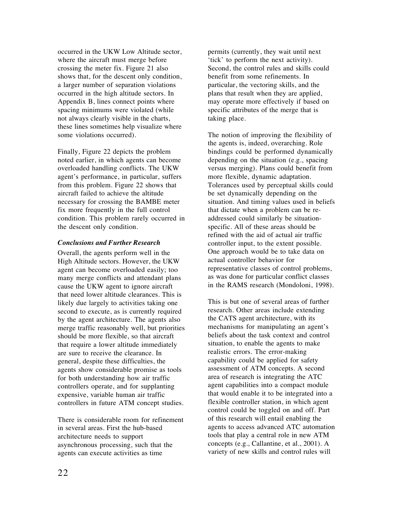occurred in the UKW Low Altitude sector, where the aircraft must merge before crossing the meter fix. Figure 21 also shows that, for the descent only condition, a larger number of separation violations occurred in the high altitude sectors. In Appendix B, lines connect points where spacing minimums were violated (while not always clearly visible in the charts, these lines sometimes help visualize where some violations occurred).

Finally, Figure 22 depicts the problem noted earlier, in which agents can become overloaded handling conflicts. The UKW agent's performance, in particular, suffers from this problem. Figure 22 shows that aircraft failed to achieve the altitude necessary for crossing the BAMBE meter fix more frequently in the full control condition. This problem rarely occurred in the descent only condition.

#### *Conclusions and Further Research*

Overall, the agents perform well in the High Altitude sectors. However, the UKW agent can become overloaded easily; too many merge conflicts and attendant plans cause the UKW agent to ignore aircraft that need lower altitude clearances. This is likely due largely to activities taking one second to execute, as is currently required by the agent architecture. The agents also merge traffic reasonably well, but priorities should be more flexible, so that aircraft that require a lower altitude immediately are sure to receive the clearance. In general, despite these difficulties, the agents show considerable promise as tools for both understanding how air traffic controllers operate, and for supplanting expensive, variable human air traffic controllers in future ATM concept studies.

There is considerable room for refinement in several areas. First the hub-based architecture needs to support asynchronous processing, such that the agents can execute activities as time

permits (currently, they wait until next 'tick' to perform the next activity). Second, the control rules and skills could benefit from some refinements. In particular, the vectoring skills, and the plans that result when they are applied, may operate more effectively if based on specific attributes of the merge that is taking place.

The notion of improving the flexibility of the agents is, indeed, overarching. Role bindings could be performed dynamically depending on the situation (e.g., spacing versus merging). Plans could benefit from more flexible, dynamic adaptation. Tolerances used by perceptual skills could be set dynamically depending on the situation. And timing values used in beliefs that dictate when a problem can be readdressed could similarly be situationspecific. All of these areas should be refined with the aid of actual air traffic controller input, to the extent possible. One approach would be to take data on actual controller behavior for representative classes of control problems, as was done for particular conflict classes in the RAMS research (Mondoloni, 1998).

This is but one of several areas of further research. Other areas include extending the CATS agent architecture, with its mechanisms for manipulating an agent's beliefs about the task context and control situation, to enable the agents to make realistic errors. The error-making capability could be applied for safety assessment of ATM concepts. A second area of research is integrating the ATC agent capabilities into a compact module that would enable it to be integrated into a flexible controller station, in which agent control could be toggled on and off. Part of this research will entail enabling the agents to access advanced ATC automation tools that play a central role in new ATM concepts (e.g., Callantine, et al., 2001). A variety of new skills and control rules will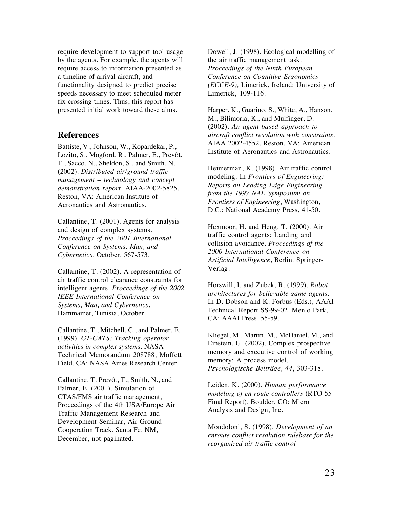require development to support tool usage by the agents. For example, the agents will require access to information presented as a timeline of arrival aircraft, and functionality designed to predict precise speeds necessary to meet scheduled meter fix crossing times. Thus, this report has presented initial work toward these aims.

## **References**

Battiste, V., Johnson, W., Kopardekar, P., Lozito, S., Mogford, R., Palmer, E., Prevôt, T., Sacco, N., Sheldon, S., and Smith, N. (2002). *Distributed air/ground traffic management – technology and concept demonstration report.* AIAA-2002-5825, Reston, VA: American Institute of Aeronautics and Astronautics.

Callantine, T. (2001). Agents for analysis and design of complex systems. *Proceedings of the 2001 International Conference on Systems, Man, and Cybernetics*, October, 567-573.

Callantine, T. (2002). A representation of air traffic control clearance constraints for intelligent agents. *Proceedings of the 2002 IEEE International Conference on Systems, Man, and Cybernetics*, Hammamet, Tunisia, October.

Callantine, T., Mitchell, C., and Palmer, E. (1999). *GT-CATS: Tracking operator activities in complex systems*. NASA Technical Memorandum 208788, Moffett Field, CA: NASA Ames Research Center.

Callantine, T. Prevôt, T., Smith, N., and Palmer, E. (2001). Simulation of CTAS/FMS air traffic management, Proceedings of the 4th USA/Europe Air Traffic Management Research and Development Seminar, Air-Ground Cooperation Track, Santa Fe, NM, December, not paginated.

Dowell, J. (1998). Ecological modelling of the air traffic management task. *Proceedings of the Ninth European Conference on Cognitive Ergonomics (ECCE-9),* Limerick, Ireland: University of Limerick, 109-116.

Harper, K., Guarino, S., White, A., Hanson, M., Bilimoria, K., and Mulfinger, D. (2002). *An agent-based approach to aircraft conflict resolution with constraints*. AIAA 2002-4552, Reston, VA: American Institute of Aeronautics and Astronautics.

Heimerman, K. (1998). Air traffic control modeling. In *Frontiers of Engineering: Reports on Leading Edge Engineering from the 1997 NAE Symposium on Frontiers of Engineering*, Washington, D.C.: National Academy Press, 41-50.

Hexmoor, H. and Heng, T. (2000). Air traffic control agents: Landing and collision avoidance. *Proceedings of the 2000 International Conference on Artificial Intelligence*, Berlin: Springer-Verlag.

Horswill, I. and Zubek, R. (1999). *Robot architectures for believable game agents.* In D. Dobson and K. Forbus (Eds.), AAAI Technical Report SS-99-02, Menlo Park, CA: AAAI Press, 55-59.

Kliegel, M., Martin, M., McDaniel, M., and Einstein, G. (2002). Complex prospective memory and executive control of working memory: A process model. *Psychologische Beiträge, 44*, 303-318.

Leiden, K. (2000). *Human performance modeling of en route controllers* (RTO-55 Final Report). Boulder, CO: Micro Analysis and Design, Inc.

Mondoloni, S. (1998). *Development of an enroute conflict resolution rulebase for the reorganized air traffic control*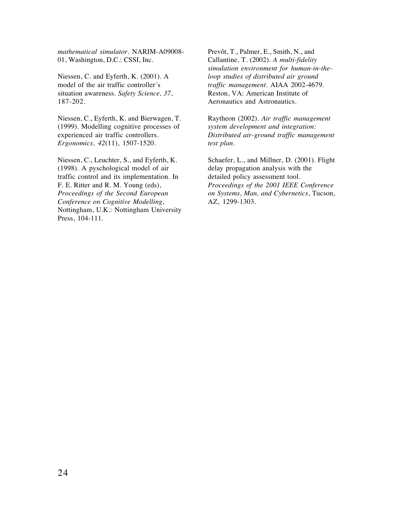*mathematical simulator*. NARIM-A09008- 01, Washington, D.C.: CSSI, Inc.

Niessen, C. and Eyferth, K. (2001). A model of the air traffic controller´s situation awareness. *Safety Science, 37*, 187-202.

Niessen, C., Eyferth, K. and Bierwagen, T. (1999). Modelling cognitive processes of experienced air traffic controllers. *Ergonomics, 42*(11), 1507-1520.

Niessen, C., Leuchter, S., and Eyferth, K. (1998). A pyschological model of air traffic control and its implementation. In F. E. Ritter and R. M. Young (eds), *Proceedings of the Second European Conference on Cognitive Modelling*, Nottingham, U.K.: Nottingham University Press, 104-111.

Prevôt, T., Palmer, E., Smith, N., and Callantine, T. (2002). *A multi-fidelity simulation environment for human-in-theloop studies of distributed air ground traffic management.* AIAA 2002-4679. Reston, VA: American Institute of Aeronautics and Astronautics.

Raytheon (2002). *Air traffic management system development and integration: Distributed air-ground traffic management test plan*.

Schaefer, L., and Millner, D. (2001). Flight delay propagation analysis with the detailed policy assessment tool. *Proceedings of the 2001 IEEE Conference on Systems, Man, and Cybernetics*, Tucson, AZ, 1299-1303.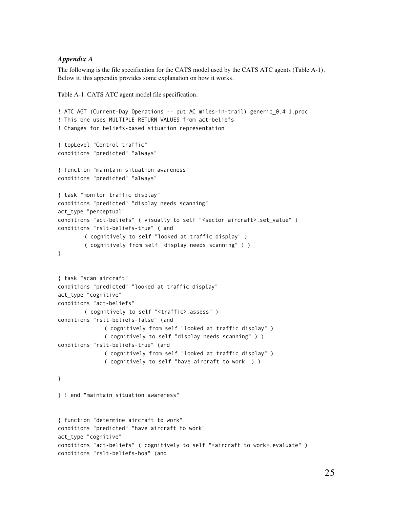#### *Appendix A*

The following is the file specification for the CATS model used by the CATS ATC agents (Table A-1). Below it, this appendix provides some explanation on how it works.

Table A-1. CATS ATC agent model file specification.

```
! ATC AGT (Current-Day Operations -- put AC miles-in-trail) generic 0.4.1.proc
! This one uses MULTIPLE RETURN VALUES from act-beliefs
! Changes for beliefs-based situation representation
{ topLevel "Control traffic"
conditions "predicted" "always"
{ function "maintain situation awareness"
conditions "predicted" "always"
{ task "monitor traffic display"
conditions "predicted" "display needs scanning"
act type "perceptual"
conditions "act-beliefs" ( visually to self "<sector aircraft>.set_value" )
conditions "rslt-beliefs-true" ( and
         ( cognitively to self "looked at traffic display" )
         ( cognitively from self "display needs scanning" ) )
}
{ task "scan aircraft"
conditions "predicted" "looked at traffic display"
act type "cognitive"
conditions "act-beliefs"
         ( cognitively to self "<traffic>.assess" )
conditions "rslt-beliefs-false" (and
              ( cognitively from self "looked at traffic display" )
              ( cognitively to self "display needs scanning" ) )
conditions "rslt-beliefs-true" (and
              ( cognitively from self "looked at traffic display" )
              ( cognitively to self "have aircraft to work" ) )
}
} ! end "maintain situation awareness"
{ function "determine aircraft to work"
conditions "predicted" "have aircraft to work"
act_type "cognitive"
conditions "act-beliefs" ( cognitively to self "<aircraft to work>.evaluate" )
conditions "rslt-beliefs-hoa" (and
```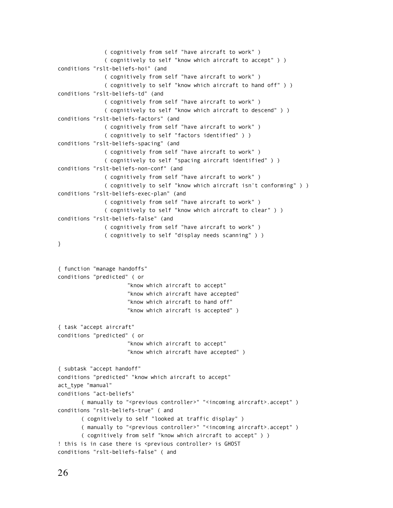```
( cognitively from self "have aircraft to work" )
              ( cognitively to self "know which aircraft to accept" ) )
conditions "rslt-beliefs-hoi" (and
              ( cognitively from self "have aircraft to work" )
              ( cognitively to self "know which aircraft to hand off" ) )
conditions "rslt-beliefs-td" (and
              ( cognitively from self "have aircraft to work" )
              ( cognitively to self "know which aircraft to descend" ) )
conditions "rslt-beliefs-factors" (and
              ( cognitively from self "have aircraft to work" )
              ( cognitively to self "factors identified" ) )
conditions "rslt-beliefs-spacing" (and
              ( cognitively from self "have aircraft to work" )
              ( cognitively to self "spacing aircraft identified" ) )
conditions "rslt-beliefs-non-conf" (and
              ( cognitively from self "have aircraft to work" )
              ( cognitively to self "know which aircraft isn't conforming" ) )
conditions "rslt-beliefs-exec-plan" (and
              ( cognitively from self "have aircraft to work" )
              ( cognitively to self "know which aircraft to clear" ) )
conditions "rslt-beliefs-false" (and
              ( cognitively from self "have aircraft to work" )
              ( cognitively to self "display needs scanning" ) )
}
{ function "manage handoffs"
conditions "predicted" ( or
                      "know which aircraft to accept"
                      "know which aircraft have accepted"
                      "know which aircraft to hand off"
                      "know which aircraft is accepted" )
{ task "accept aircraft"
conditions "predicted" ( or
                      "know which aircraft to accept"
                      "know which aircraft have accepted" )
{ subtask "accept handoff"
conditions "predicted" "know which aircraft to accept"
act_type "manual"
conditions "act-beliefs"
       ( manually to "<previous controller>" "<incoming aircraft>.accept" )
conditions "rslt-beliefs-true" ( and
       ( cognitively to self "looked at traffic display" )
       ( manually to "<previous controller>" "<incoming aircraft>.accept" )
       ( cognitively from self "know which aircraft to accept" ) )
! this is in case there is <previous controller> is GHOST
conditions "rslt-beliefs-false" ( and
```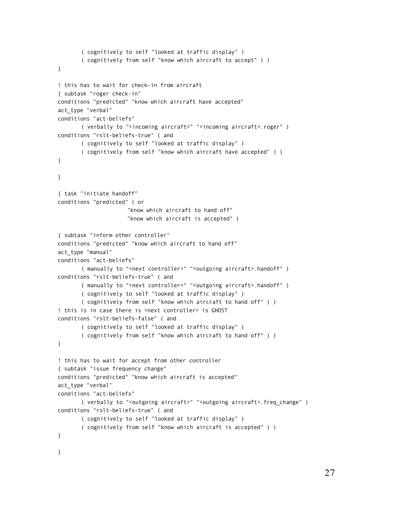```
( cognitively to self "looked at traffic display" )
       ( cognitively from self "know which aircraft to accept" ) )
}
! this has to wait for check-in from aircraft
{ subtask "roger check-in"
conditions "predicted" "know which aircraft have accepted"
act_type "verbal"
conditions "act-beliefs"
       ( verbally to "<incoming aircraft>" "<incoming aircraft>.roger" )
conditions "rslt-beliefs-true" ( and
       ( cognitively to self "looked at traffic display" )
       ( cognitively from self "know which aircraft have accepted" ) )
}
}
{ task "initiate handoff"
conditions "predicted" ( or
                      "know which aircraft to hand off"
                      "know which aircraft is accepted" )
{ subtask "inform other controller"
conditions "predicted" "know which aircraft to hand off"
act_type "manual"
conditions "act-beliefs"
       ( manually to "<next controller>" "<outgoing aircraft>.handoff" )
conditions "rslt-beliefs-true" ( and
       ( manually to "<next controller>" "<outgoing aircraft>.handoff" )
       ( cognitively to self "looked at traffic display" )
       ( cognitively from self "know which aircraft to hand off" ) )
! this is in case there is <next controller> is GHOST
conditions "rslt-beliefs-false" ( and
       ( cognitively to self "looked at traffic display" )
       ( cognitively from self "know which aircraft to hand off" ) )
}
! this has to wait for accept from other controller
{ subtask "issue frequency change"
conditions "predicted" "know which aircraft is accepted"
act_type "verbal"
conditions "act-beliefs"
       ( verbally to "<outgoing aircraft>" "<outgoing aircraft>.freq_change" )
conditions "rslt-beliefs-true" ( and
       ( cognitively to self "looked at traffic display" )
       ( cognitively from self "know which aircraft is accepted" ) )
}
}
```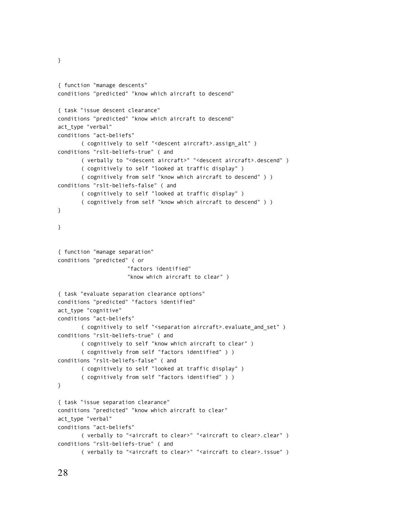}

```
{ function "manage descents"
conditions "predicted" "know which aircraft to descend"
{ task "issue descent clearance"
conditions "predicted" "know which aircraft to descend"
act_type "verbal"
conditions "act-beliefs"
       ( cognitively to self "<descent aircraft>.assign_alt" )
conditions "rslt-beliefs-true" ( and
       ( verbally to "<descent aircraft>" "<descent aircraft>.descend" )
       ( cognitively to self "looked at traffic display" )
       ( cognitively from self "know which aircraft to descend" ) )
conditions "rslt-beliefs-false" ( and
       ( cognitively to self "looked at traffic display" )
       ( cognitively from self "know which aircraft to descend" ) )
}
}
{ function "manage separation"
conditions "predicted" ( or
                      "factors identified"
                      "know which aircraft to clear" )
{ task "evaluate separation clearance options"
conditions "predicted" "factors identified"
act type "cognitive"
conditions "act-beliefs"
       ( cognitively to self "<separation aircraft>.evaluate_and_set" )
conditions "rslt-beliefs-true" ( and
       ( cognitively to self "know which aircraft to clear" )
       ( cognitively from self "factors identified" ) )
conditions "rslt-beliefs-false" ( and
       ( cognitively to self "looked at traffic display" )
       ( cognitively from self "factors identified" ) )
}
{ task "issue separation clearance"
conditions "predicted" "know which aircraft to clear"
act_type "verbal"
conditions "act-beliefs"
       ( verbally to "<aircraft to clear>" "<aircraft to clear>.clear" )
conditions "rslt-beliefs-true" ( and
       ( verbally to "<aircraft to clear>" "<aircraft to clear>.issue" )
```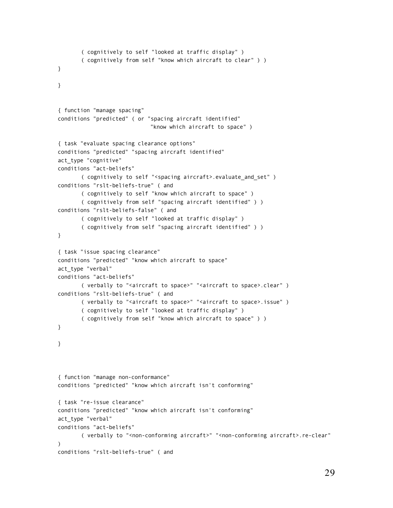```
( cognitively to self "looked at traffic display" )
       ( cognitively from self "know which aircraft to clear" ) )
}
}
{ function "manage spacing"
conditions "predicted" ( or "spacing aircraft identified"
                             "know which aircraft to space" )
{ task "evaluate spacing clearance options"
conditions "predicted" "spacing aircraft identified"
act type "cognitive"
conditions "act-beliefs"
       ( cognitively to self "<spacing aircraft>.evaluate_and_set" )
conditions "rslt-beliefs-true" ( and
       ( cognitively to self "know which aircraft to space" )
       ( cognitively from self "spacing aircraft identified" ) )
conditions "rslt-beliefs-false" ( and
       ( cognitively to self "looked at traffic display" )
       ( cognitively from self "spacing aircraft identified" ) )
}
{ task "issue spacing clearance"
conditions "predicted" "know which aircraft to space"
act type "verbal"
conditions "act-beliefs"
       ( verbally to "<aircraft to space>" "<aircraft to space>.clear" )
conditions "rslt-beliefs-true" ( and
       ( verbally to "<aircraft to space>" "<aircraft to space>.issue" )
       ( cognitively to self "looked at traffic display" )
       ( cognitively from self "know which aircraft to space" ) )
}
}
{ function "manage non-conformance"
conditions "predicted" "know which aircraft isn't conforming"
{ task "re-issue clearance"
conditions "predicted" "know which aircraft isn't conforming"
act_type "verbal"
conditions "act-beliefs"
       ( verbally to "<non-conforming aircraft>" "<non-conforming aircraft>.re-clear"
)
conditions "rslt-beliefs-true" ( and
```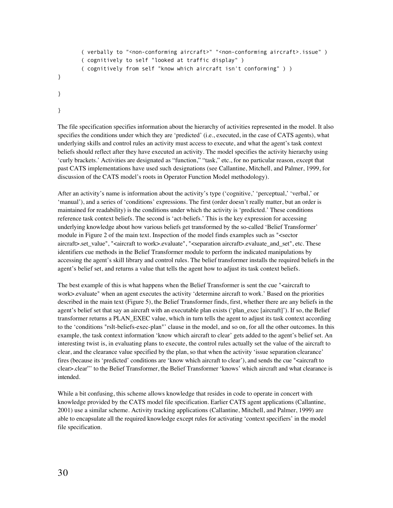```
( verbally to "<non-conforming aircraft>" "<non-conforming aircraft>.issue" )
       ( cognitively to self "looked at traffic display" )
       ( cognitively from self "know which aircraft isn't conforming" ) )
}
}
}
```
The file specification specifies information about the hierarchy of activities represented in the model. It also specifies the conditions under which they are 'predicted' (i.e., executed, in the case of CATS agents), what underlying skills and control rules an activity must access to execute, and what the agent's task context beliefs should reflect after they have executed an activity. The model specifies the activity hierarchy using 'curly brackets.' Activities are designated as "function," "task," etc., for no particular reason, except that past CATS implementations have used such designations (see Callantine, Mitchell, and Palmer, 1999, for discussion of the CATS model's roots in Operator Function Model methodology).

After an activity's name is information about the activity's type ('cognitive,' 'perceptual,' 'verbal,' or 'manual'), and a series of 'conditions' expressions. The first (order doesn't really matter, but an order is maintained for readability) is the conditions under which the activity is 'predicted.' These conditions reference task context beliefs. The second is 'act-beliefs.' This is the key expression for accessing underlying knowledge about how various beliefs get transformed by the so-called 'Belief Transformer' module in Figure 2 of the main text. Inspection of the model finds examples such as " $\le$ sector aircraft>.set\_value", "<aircraft to work>.evaluate", "<separation aircraft>.evaluate\_and\_set", etc. These identifiers cue methods in the Belief Transformer module to perform the indicated manipulations by accessing the agent's skill library and control rules. The belief transformer installs the required beliefs in the agent's belief set, and returns a value that tells the agent how to adjust its task context beliefs.

The best example of this is what happens when the Belief Transformer is sent the cue "<aircraft to work>.evaluate" when an agent executes the activity 'determine aircraft to work.' Based on the priorities described in the main text (Figure 5), the Belief Transformer finds, first, whether there are any beliefs in the agent's belief set that say an aircraft with an executable plan exists ('plan\_exec [aircraft]'). If so, the Belief transformer returns a PLAN\_EXEC value, which in turn tells the agent to adjust its task context according to the 'conditions "rslt-beliefs-exec-plan"' clause in the model, and so on, for all the other outcomes. In this example, the task context information 'know which aircraft to clear' gets added to the agent's belief set. An interesting twist is, in evaluating plans to execute, the control rules actually set the value of the aircraft to clear, and the clearance value specified by the plan, so that when the activity 'issue separation clearance' fires (because its 'predicted' conditions are 'know which aircraft to clear'), and sends the cue "<aircraft to clear>.clear"' to the Belief Transformer, the Belief Transformer 'knows' which aircraft and what clearance is intended.

While a bit confusing, this scheme allows knowledge that resides in code to operate in concert with knowledge provided by the CATS model file specification. Earlier CATS agent applications (Callantine, 2001) use a similar scheme. Activity tracking applications (Callantine, Mitchell, and Palmer, 1999) are able to encapsulate all the required knowledge except rules for activating 'context specifiers' in the model file specification.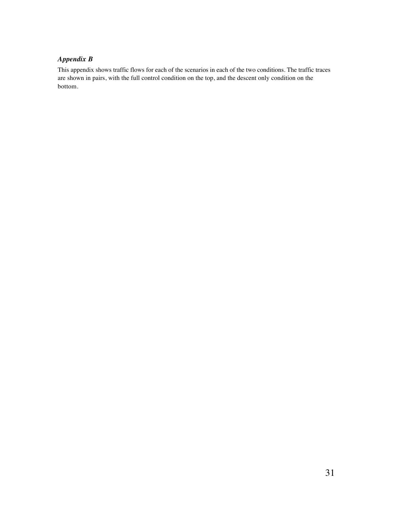# *Appendix B*

This appendix shows traffic flows for each of the scenarios in each of the two conditions. The traffic traces are shown in pairs, with the full control condition on the top, and the descent only condition on the bottom.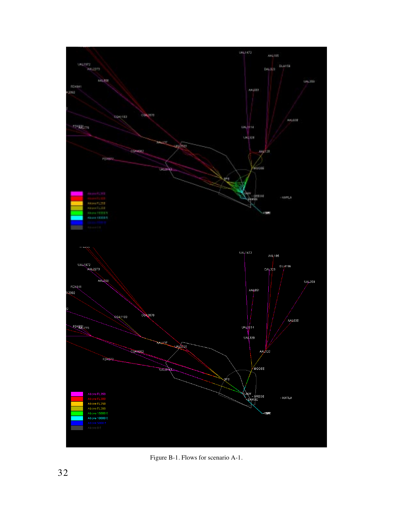

Figure B-1. Flows for scenario A-1.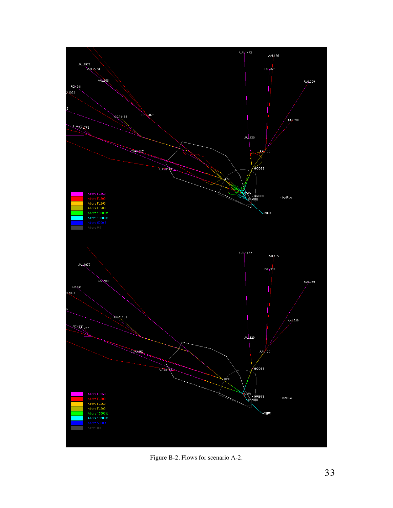

Figure B-2. Flows for scenario A-2.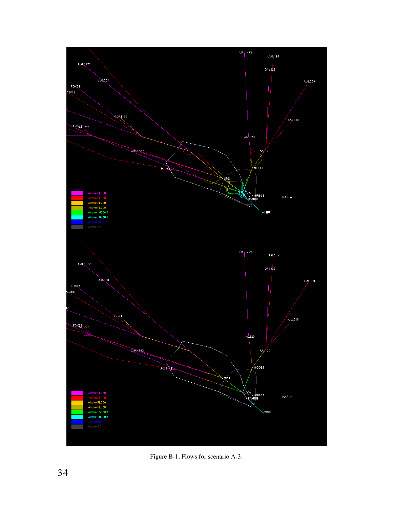

Figure B-1. Flows for scenario A-3.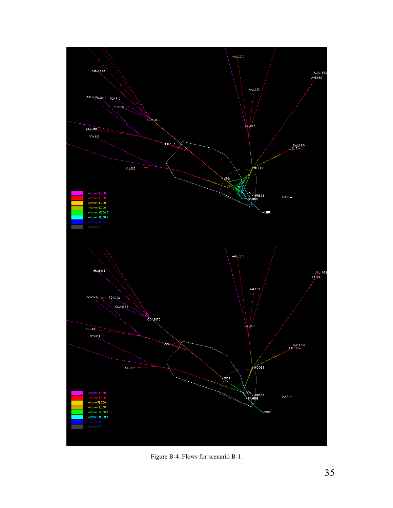

Figure B-4. Flows for scenario B-1.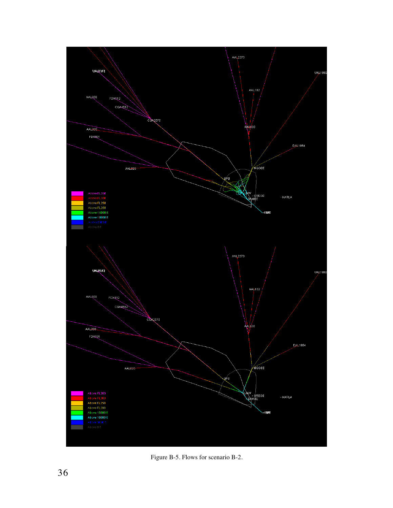

Figure B-5. Flows for scenario B-2.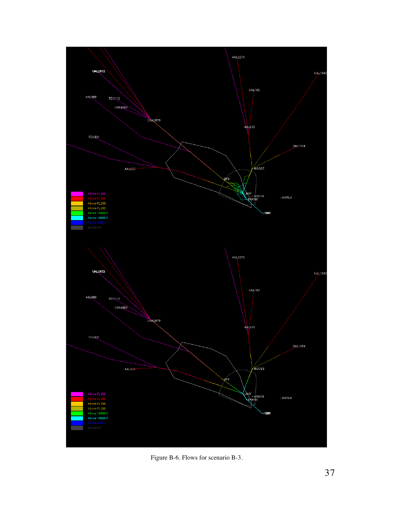

Figure B-6. Flows for scenario B-3.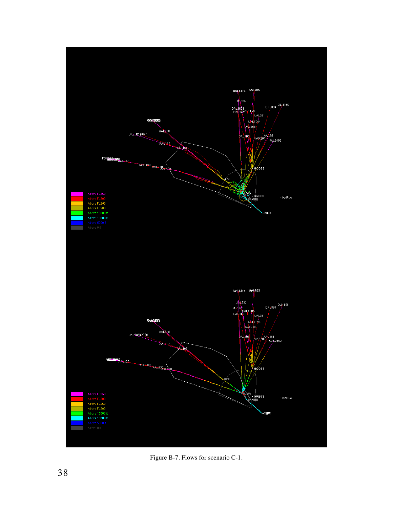

Figure B-7. Flows for scenario C-1.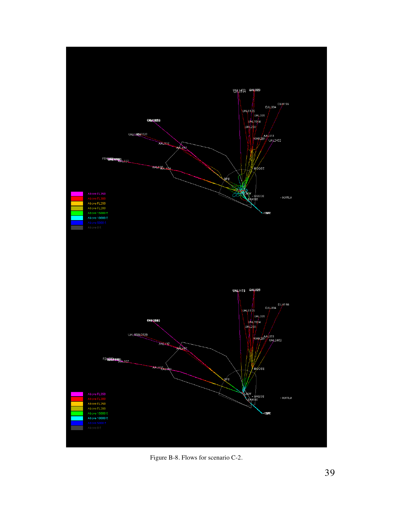

Figure B-8. Flows for scenario C-2.